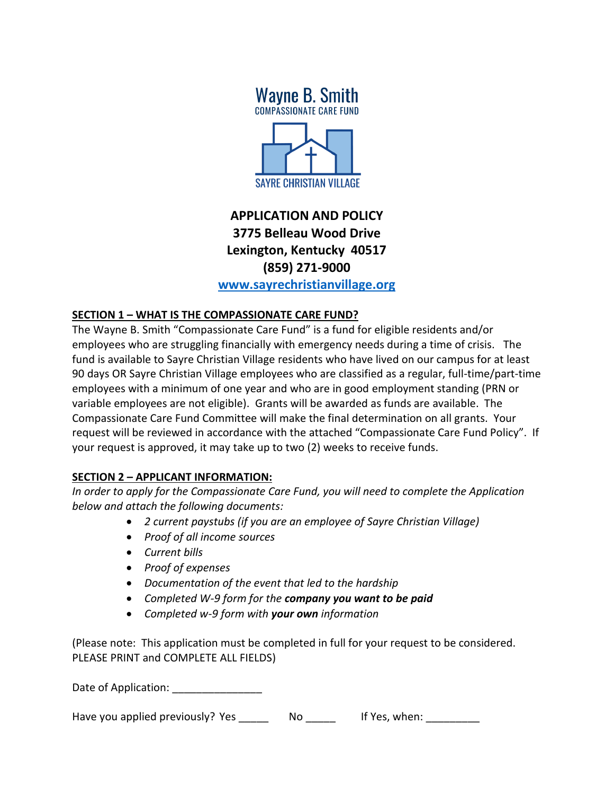

## **APPLICATION AND POLICY 3775 Belleau Wood Drive Lexington, Kentucky 40517 (859) 271-9000 [www.sayrechristianvillage.org](http://www.sayrechristianvillage.org/)**

# **SECTION 1 – WHAT IS THE COMPASSIONATE CARE FUND?**

The Wayne B. Smith "Compassionate Care Fund" is a fund for eligible residents and/or employees who are struggling financially with emergency needs during a time of crisis. The fund is available to Sayre Christian Village residents who have lived on our campus for at least 90 days OR Sayre Christian Village employees who are classified as a regular, full-time/part-time employees with a minimum of one year and who are in good employment standing (PRN or variable employees are not eligible). Grants will be awarded as funds are available. The Compassionate Care Fund Committee will make the final determination on all grants. Your request will be reviewed in accordance with the attached "Compassionate Care Fund Policy". If your request is approved, it may take up to two (2) weeks to receive funds.

#### **SECTION 2 – APPLICANT INFORMATION:**

*In order to apply for the Compassionate Care Fund, you will need to complete the Application below and attach the following documents:*

- *2 current paystubs (if you are an employee of Sayre Christian Village)*
- *Proof of all income sources*
- *Current bills*
- *Proof of expenses*
- *Documentation of the event that led to the hardship*
- *Completed W-9 form for the company you want to be paid*
- *Completed w-9 form with your own information*

(Please note: This application must be completed in full for your request to be considered. PLEASE PRINT and COMPLETE ALL FIELDS)

Date of Application:

Have you applied previously? Yes The No The Mess, when: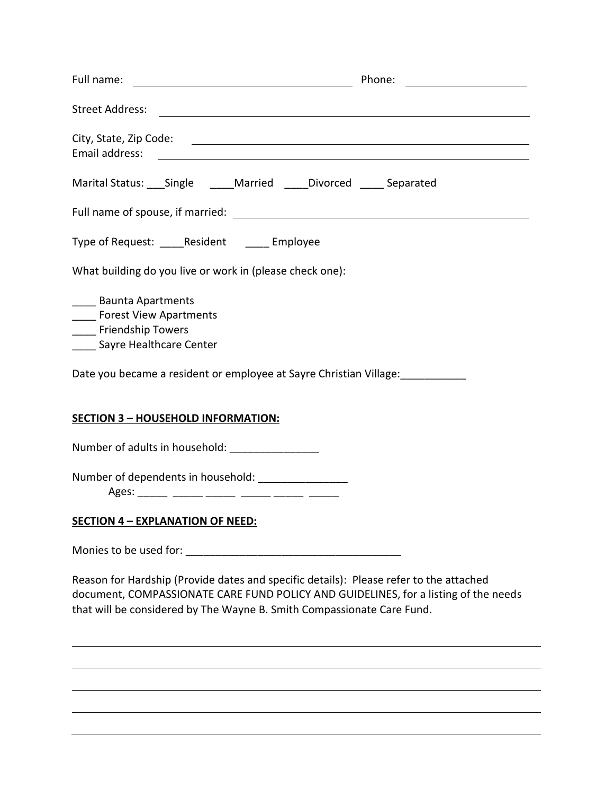| Full name:<br><u>and the control of the control of the control of the control of the control of the control of the control of</u>       |  |  |  |
|-----------------------------------------------------------------------------------------------------------------------------------------|--|--|--|
|                                                                                                                                         |  |  |  |
| Email address:<br><u> 1989 - Johann Harry Harry Harry Harry Harry Harry Harry Harry Harry Harry Harry Harry Harry Harry Harry Harry</u> |  |  |  |
| Marital Status: ___ Single _____ Married _____ Divorced _____ Separated                                                                 |  |  |  |
|                                                                                                                                         |  |  |  |
| Type of Request: _____Resident ______ Employee                                                                                          |  |  |  |
| What building do you live or work in (please check one):                                                                                |  |  |  |
| _____ Baunta Apartments<br>_____ Forest View Apartments<br>_____ Friendship Towers<br>_____ Sayre Healthcare Center                     |  |  |  |
| Date you became a resident or employee at Sayre Christian Village:<br>                                                                  |  |  |  |
| <b>SECTION 3 - HOUSEHOLD INFORMATION:</b>                                                                                               |  |  |  |
| Number of adults in household: ________________                                                                                         |  |  |  |
| Number of dependents in household: _________________                                                                                    |  |  |  |

Ages: \_\_\_\_\_ \_\_\_\_\_ \_\_\_\_\_ \_\_\_\_\_ \_\_\_\_\_ \_\_\_\_\_

### **SECTION 4 – EXPLANATION OF NEED:**

Monies to be used for: \_\_\_\_\_\_\_\_\_\_\_\_\_\_\_\_\_\_\_\_\_\_\_\_\_\_\_\_\_\_\_\_\_\_\_\_

Reason for Hardship (Provide dates and specific details): Please refer to the attached document, COMPASSIONATE CARE FUND POLICY AND GUIDELINES, for a listing of the needs that will be considered by The Wayne B. Smith Compassionate Care Fund.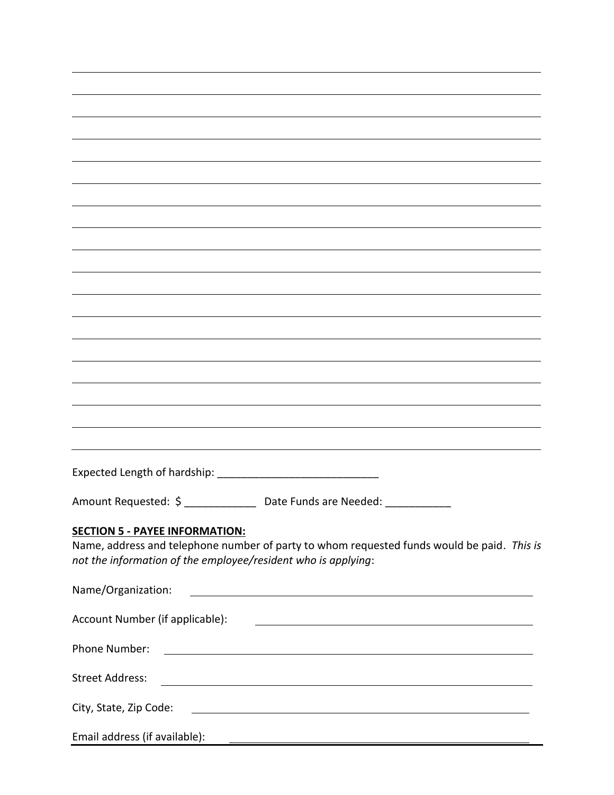| Amount Requested: \$ ________________ Date Funds are Needed: _____________                                                                                |
|-----------------------------------------------------------------------------------------------------------------------------------------------------------|
|                                                                                                                                                           |
| <b>SECTION 5 - PAYEE INFORMATION:</b>                                                                                                                     |
| Name, address and telephone number of party to whom requested funds would be paid. This is                                                                |
| not the information of the employee/resident who is applying:                                                                                             |
|                                                                                                                                                           |
|                                                                                                                                                           |
| Name/Organization:<br><u> 1989 - Johann Barn, mars ann an t-Amhain Aonaich an t-Aonaich an t-Aonaich ann an t-Aonaich ann an t-Aonaich</u>                |
|                                                                                                                                                           |
| Account Number (if applicable):<br><u> 1980 - Johann Stoff, deutscher Stoffen und der Stoffen und der Stoffen und der Stoffen und der Stoffen und der</u> |
|                                                                                                                                                           |
| Phone Number:<br><u> 1989 - Johann Stoff, deutscher Stoffen und der Stoffen und der Stoffen und der Stoffen und der Stoffen und der</u>                   |
|                                                                                                                                                           |
|                                                                                                                                                           |
| <b>Street Address:</b><br><u> 1989 - Johann Stoff, deutscher Stoffen und der Stoffen und der Stoffen und der Stoffen und der Stoffen und de</u>           |
|                                                                                                                                                           |
| City, State, Zip Code:<br><u> 1989 - Johann Stoff, deutscher Stoff, der Stoff, der Stoff, der Stoff, der Stoff, der Stoff, der Stoff, der S</u>           |
|                                                                                                                                                           |
| Email address (if available):                                                                                                                             |
| <u> 1989 - Andrea Andrew Maria (h. 1989).</u><br>Nobel de Andrew Maria (h. 1989).                                                                         |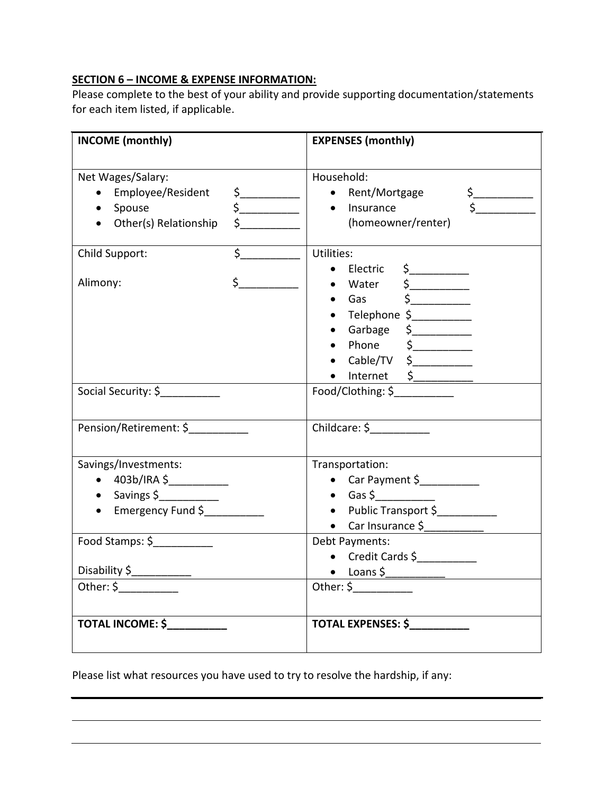### **SECTION 6 – INCOME & EXPENSE INFORMATION:**

Please complete to the best of your ability and provide supporting documentation/statements for each item listed, if applicable.

| <b>INCOME</b> (monthly)                                                                      |                                                                                                                                                                                                                                                                                                                                                                      | <b>EXPENSES (monthly)</b>                                                                                                                                                                          |
|----------------------------------------------------------------------------------------------|----------------------------------------------------------------------------------------------------------------------------------------------------------------------------------------------------------------------------------------------------------------------------------------------------------------------------------------------------------------------|----------------------------------------------------------------------------------------------------------------------------------------------------------------------------------------------------|
| Net Wages/Salary:<br>Employee/Resident<br>Spouse<br>Other(s) Relationship                    | $\frac{1}{2}$<br>$\begin{picture}(20,20) \put(0,0){\line(1,0){10}} \put(15,0){\line(1,0){10}} \put(15,0){\line(1,0){10}} \put(15,0){\line(1,0){10}} \put(15,0){\line(1,0){10}} \put(15,0){\line(1,0){10}} \put(15,0){\line(1,0){10}} \put(15,0){\line(1,0){10}} \put(15,0){\line(1,0){10}} \put(15,0){\line(1,0){10}} \put(15,0){\line(1,0){10}} \put(15,0){\line(1$ | Household:<br>• Rent/Mortgage<br>$\frac{1}{2}$<br>• Insurance<br>(homeowner/renter)                                                                                                                |
| Child Support:<br>Alimony:                                                                   | $\overline{\mathsf{S}}$<br>$\sharp$                                                                                                                                                                                                                                                                                                                                  | Utilities:<br>$\bullet$ Electric $\$$<br>$\bullet$ Water $\frac{1}{2}$<br>$\bullet$ Gas $\quad \simeq$<br>· Telephone \$<br>• Garbage \$<br>• Cable/TV $\zeta$<br>$\bullet$ Internet $\frac{1}{2}$ |
| Social Security: \$                                                                          |                                                                                                                                                                                                                                                                                                                                                                      | Food/Clothing: \$                                                                                                                                                                                  |
| Pension/Retirement: \$                                                                       |                                                                                                                                                                                                                                                                                                                                                                      |                                                                                                                                                                                                    |
| Savings/Investments:<br>$\bullet$ 403b/IRA \$<br>$\bullet$ Savings \$<br>• Emergency Fund \$ |                                                                                                                                                                                                                                                                                                                                                                      | Transportation:<br>$\bullet$ Gas \$<br>• Public Transport \$                                                                                                                                       |
| Food Stamps: \$                                                                              |                                                                                                                                                                                                                                                                                                                                                                      | Debt Payments:<br>• Credit Cards \$                                                                                                                                                                |
| Disability \$                                                                                |                                                                                                                                                                                                                                                                                                                                                                      |                                                                                                                                                                                                    |
| <b>TOTAL INCOME: \$</b>                                                                      |                                                                                                                                                                                                                                                                                                                                                                      | <b>TOTAL EXPENSES: \$</b>                                                                                                                                                                          |

Please list what resources you have used to try to resolve the hardship, if any: